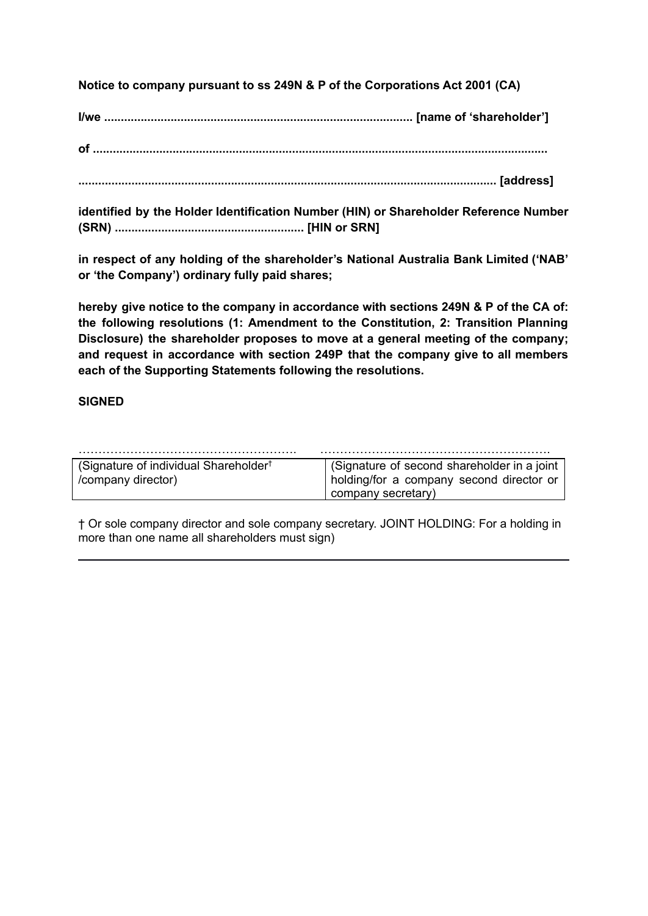**Notice to company pursuant to ss 249N & P of the Corporations Act 2001 (CA)**

**I/we ............................................................................................. [name of 'shareholder']**

**of .........................................................................................................................................**

**.............................................................................................................................. [address]**

**identified by the Holder Identification Number (HIN) or Shareholder Reference Number (SRN) ......................................................... [HIN or SRN]**

**in respect of any holding of the shareholder's National Australia Bank Limited ('NAB' or 'the Company') ordinary fully paid shares;**

**hereby give notice to the company in accordance with sections 249N & P of the CA of: the following resolutions (1: Amendment to the Constitution, 2: Transition Planning Disclosure) the shareholder proposes to move at a general meeting of the company; and request in accordance with section 249P that the company give to all members each of the Supporting Statements following the resolutions.**

# **SIGNED**

| (Signature of individual Shareholder <sup>†</sup> | (Signature of second shareholder in a joint |
|---------------------------------------------------|---------------------------------------------|
| /company director)                                | holding/for a company second director or    |
|                                                   | company secretary)                          |

† Or sole company director and sole company secretary. JOINT HOLDING: For a holding in more than one name all shareholders must sign)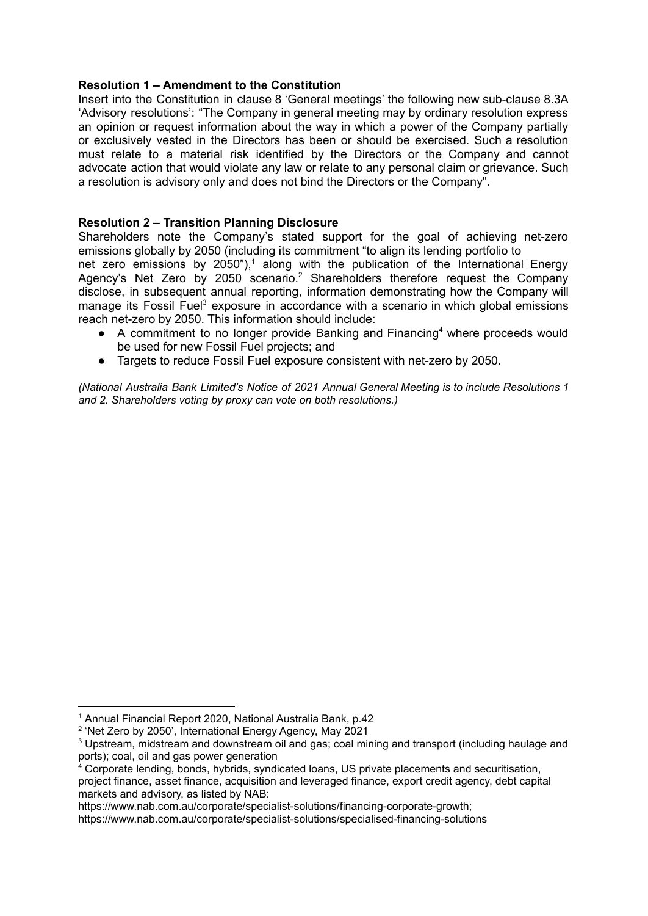#### **Resolution 1 – Amendment to the Constitution**

Insert into the Constitution in clause 8 'General meetings' the following new sub-clause 8.3A 'Advisory resolutions': "The Company in general meeting may by ordinary resolution express an opinion or request information about the way in which a power of the Company partially or exclusively vested in the Directors has been or should be exercised. Such a resolution must relate to a material risk identified by the Directors or the Company and cannot advocate action that would violate any law or relate to any personal claim or grievance. Such a resolution is advisory only and does not bind the Directors or the Company".

#### **Resolution 2 – Transition Planning Disclosure**

Shareholders note the Company's stated support for the goal of achieving net-zero emissions globally by 2050 (including its commitment "to align its lending portfolio to net zero emissions by 2050"),<sup>1</sup> along with the publication of the International Energy Agency's Net Zero by 2050 scenario.<sup>2</sup> Shareholders therefore request the Company disclose, in subsequent annual reporting, information demonstrating how the Company will manage its Fossil Fuel<sup>3</sup> exposure in accordance with a scenario in which global emissions reach net-zero by 2050. This information should include:

- A commitment to no longer provide Banking and Financing<sup>4</sup> where proceeds would be used for new Fossil Fuel projects; and
- Targets to reduce Fossil Fuel exposure consistent with net-zero by 2050.

*(National Australia Bank Limited's Notice of 2021 Annual General Meeting is to include Resolutions 1 and 2. Shareholders voting by proxy can vote on both resolutions.)*

<sup>1</sup> Annual Financial Report 2020, National Australia Bank, p.42

<sup>&</sup>lt;sup>2</sup> 'Net Zero by 2050', International Energy Agency, May 2021

<sup>3</sup> Upstream, midstream and downstream oil and gas; coal mining and transport (including haulage and ports); coal, oil and gas power generation

 $4$  Corporate lending, bonds, hybrids, syndicated loans, US private placements and securitisation, project finance, asset finance, acquisition and leveraged finance, export credit agency, debt capital markets and advisory, as listed by NAB:

https://www.nab.com.au/corporate/specialist-solutions/financing-corporate-growth;

https://www.nab.com.au/corporate/specialist-solutions/specialised-financing-solutions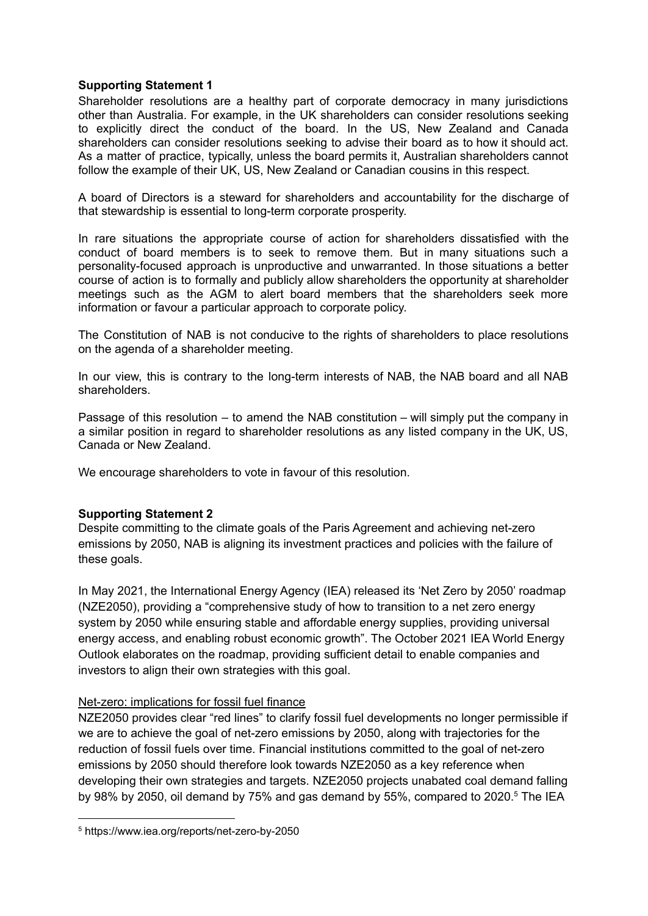### **Supporting Statement 1**

Shareholder resolutions are a healthy part of corporate democracy in many jurisdictions other than Australia. For example, in the UK shareholders can consider resolutions seeking to explicitly direct the conduct of the board. In the US, New Zealand and Canada shareholders can consider resolutions seeking to advise their board as to how it should act. As a matter of practice, typically, unless the board permits it, Australian shareholders cannot follow the example of their UK, US, New Zealand or Canadian cousins in this respect.

A board of Directors is a steward for shareholders and accountability for the discharge of that stewardship is essential to long-term corporate prosperity.

In rare situations the appropriate course of action for shareholders dissatisfied with the conduct of board members is to seek to remove them. But in many situations such a personality-focused approach is unproductive and unwarranted. In those situations a better course of action is to formally and publicly allow shareholders the opportunity at shareholder meetings such as the AGM to alert board members that the shareholders seek more information or favour a particular approach to corporate policy.

The Constitution of NAB is not conducive to the rights of shareholders to place resolutions on the agenda of a shareholder meeting.

In our view, this is contrary to the long-term interests of NAB, the NAB board and all NAB shareholders.

Passage of this resolution – to amend the NAB constitution – will simply put the company in a similar position in regard to shareholder resolutions as any listed company in the UK, US, Canada or New Zealand.

We encourage shareholders to vote in favour of this resolution.

### **Supporting Statement 2**

Despite committing to the climate goals of the Paris Agreement and achieving net-zero emissions by 2050, NAB is aligning its investment practices and policies with the failure of these goals.

In May 2021, the International Energy Agency (IEA) released its 'Net Zero by 2050' roadmap (NZE2050), providing a "comprehensive study of how to transition to a net zero energy system by 2050 while ensuring stable and affordable energy supplies, providing universal energy access, and enabling robust economic growth". The October 2021 IEA World Energy Outlook elaborates on the roadmap, providing sufficient detail to enable companies and investors to align their own strategies with this goal.

### Net-zero: implications for fossil fuel finance

NZE2050 provides clear "red lines" to clarify fossil fuel developments no longer permissible if we are to achieve the goal of net-zero emissions by 2050, along with trajectories for the reduction of fossil fuels over time. Financial institutions committed to the goal of net-zero emissions by 2050 should therefore look towards NZE2050 as a key reference when developing their own strategies and targets. NZE2050 projects unabated coal demand falling by 98% by 2050, oil demand by 75% and gas demand by 55%, compared to 2020.<sup>5</sup> The IEA

<sup>5</sup> https://www.iea.org/reports/net-zero-by-2050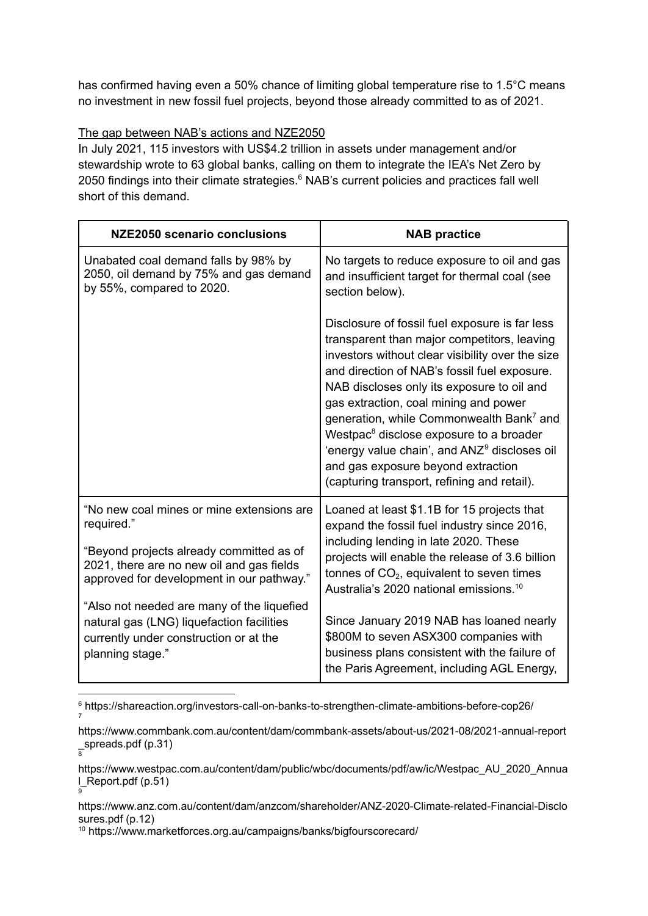has confirmed having even a 50% chance of limiting global temperature rise to 1.5°C means no investment in new fossil fuel projects, beyond those already committed to as of 2021.

# The gap between NAB's actions and NZE2050

In July 2021, 115 investors with US\$4.2 trillion in assets under management and/or stewardship wrote to 63 global banks, calling on them to integrate the IEA's Net Zero by 2050 findings into their climate strategies. <sup>6</sup> NAB's current policies and practices fall well short of this demand.

| NZE2050 scenario conclusions                                                                                                                                                                  | <b>NAB practice</b>                                                                                                                                                                                                                                                                                                                                                                                                                                                                                                                                      |
|-----------------------------------------------------------------------------------------------------------------------------------------------------------------------------------------------|----------------------------------------------------------------------------------------------------------------------------------------------------------------------------------------------------------------------------------------------------------------------------------------------------------------------------------------------------------------------------------------------------------------------------------------------------------------------------------------------------------------------------------------------------------|
| Unabated coal demand falls by 98% by<br>2050, oil demand by 75% and gas demand<br>by 55%, compared to 2020.                                                                                   | No targets to reduce exposure to oil and gas<br>and insufficient target for thermal coal (see<br>section below).                                                                                                                                                                                                                                                                                                                                                                                                                                         |
|                                                                                                                                                                                               | Disclosure of fossil fuel exposure is far less<br>transparent than major competitors, leaving<br>investors without clear visibility over the size<br>and direction of NAB's fossil fuel exposure.<br>NAB discloses only its exposure to oil and<br>gas extraction, coal mining and power<br>generation, while Commonwealth Bank <sup>7</sup> and<br>Westpac <sup>8</sup> disclose exposure to a broader<br>'energy value chain', and ANZ <sup>9</sup> discloses oil<br>and gas exposure beyond extraction<br>(capturing transport, refining and retail). |
| "No new coal mines or mine extensions are<br>required."<br>"Beyond projects already committed as of<br>2021, there are no new oil and gas fields<br>approved for development in our pathway." | Loaned at least \$1.1B for 15 projects that<br>expand the fossil fuel industry since 2016,<br>including lending in late 2020. These<br>projects will enable the release of 3.6 billion<br>tonnes of $CO2$ , equivalent to seven times<br>Australia's 2020 national emissions. <sup>10</sup>                                                                                                                                                                                                                                                              |
| "Also not needed are many of the liquefied<br>natural gas (LNG) liquefaction facilities<br>currently under construction or at the<br>planning stage."                                         | Since January 2019 NAB has loaned nearly<br>\$800M to seven ASX300 companies with<br>business plans consistent with the failure of<br>the Paris Agreement, including AGL Energy,                                                                                                                                                                                                                                                                                                                                                                         |

<sup>7</sup> <sup>6</sup> https://shareaction.org/investors-call-on-banks-to-strengthen-climate-ambitions-before-cop26/

\_spreads.pdf (p.31)<br><sup>8</sup> https://www.commbank.com.au/content/dam/commbank-assets/about-us/2021-08/2021-annual-report

<sup>9</sup> https://www.westpac.com.au/content/dam/public/wbc/documents/pdf/aw/ic/Westpac\_AU\_2020\_Annua l\_Report.pdf (p.51)

https://www.anz.com.au/content/dam/anzcom/shareholder/ANZ-2020-Climate-related-Financial-Disclo sures.pdf (p.12)

<sup>10</sup> https://www.marketforces.org.au/campaigns/banks/bigfourscorecard/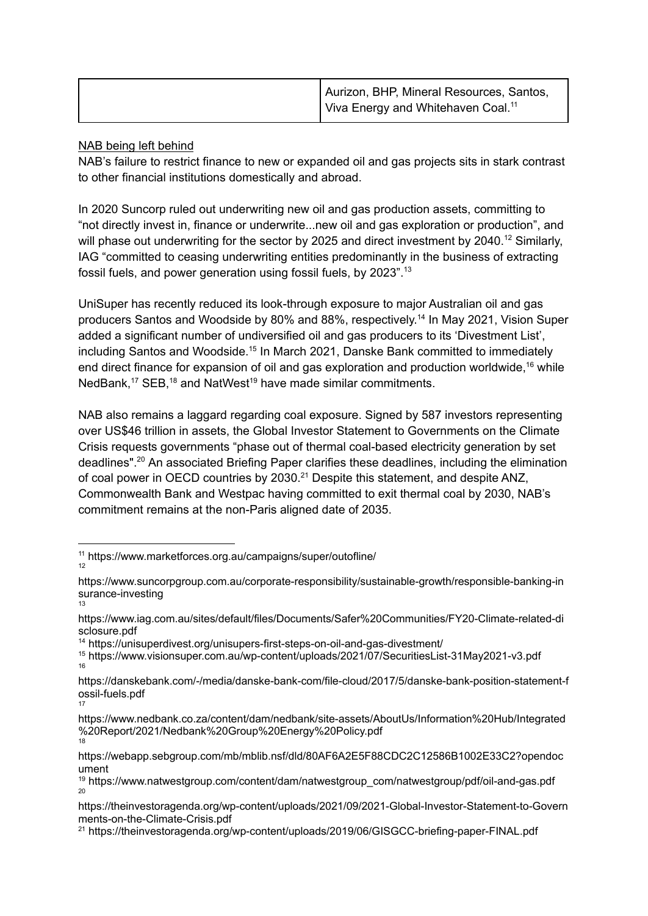| Aurizon, BHP, Mineral Resources, Santos,       |
|------------------------------------------------|
| Viva Energy and Whitehaven Coal. <sup>11</sup> |

## NAB being left behind

NAB's failure to restrict finance to new or expanded oil and gas projects sits in stark contrast to other financial institutions domestically and abroad.

In 2020 Suncorp ruled out underwriting new oil and gas production assets, committing to "not directly invest in, finance or underwrite...new oil and gas exploration or production", and will phase out underwriting for the sector by 2025 and direct investment by 2040.<sup>12</sup> Similarly, IAG "committed to ceasing underwriting entities predominantly in the business of extracting fossil fuels, and power generation using fossil fuels, by 2023". 13

UniSuper has recently reduced its look-through exposure to major Australian oil and gas producers Santos and Woodside by 80% and 88%, respectively. 14 In May 2021, Vision Super added a significant number of undiversified oil and gas producers to its 'Divestment List', including Santos and Woodside.<sup>15</sup> In March 2021, Danske Bank committed to immediately end direct finance for expansion of oil and gas exploration and production worldwide,<sup>16</sup> while NedBank,<sup>17</sup> SEB,<sup>18</sup> and NatWest<sup>19</sup> have made similar commitments.

NAB also remains a laggard regarding coal exposure. Signed by 587 investors representing over US\$46 trillion in assets, the Global Investor Statement to Governments on the Climate Crisis requests governments "phase out of thermal coal-based electricity generation by set deadlines". <sup>20</sup> An associated Briefing Paper clarifies these deadlines, including the elimination of coal power in OECD countries by 2030.<sup>21</sup> Despite this statement, and despite ANZ, Commonwealth Bank and Westpac having committed to exit thermal coal by 2030, NAB's commitment remains at the non-Paris aligned date of 2035.

<sup>14</sup> https://unisuperdivest.org/unisupers-first-steps-on-oil-and-gas-divestment/

<sup>12</sup> <sup>11</sup> https://www.marketforces.org.au/campaigns/super/outofline/

<sup>13</sup> https://www.suncorpgroup.com.au/corporate-responsibility/sustainable-growth/responsible-banking-in surance-investing

https://www.iag.com.au/sites/default/files/Documents/Safer%20Communities/FY20-Climate-related-di sclosure.pdf

<sup>16</sup> <sup>15</sup> https://www.visionsuper.com.au/wp-content/uploads/2021/07/SecuritiesList-31May2021-v3.pdf

<sup>17</sup> https://danskebank.com/-/media/danske-bank-com/file-cloud/2017/5/danske-bank-position-statement-f ossil-fuels.pdf

<sup>18</sup> https://www.nedbank.co.za/content/dam/nedbank/site-assets/AboutUs/Information%20Hub/Integrated %20Report/2021/Nedbank%20Group%20Energy%20Policy.pdf

https://webapp.sebgroup.com/mb/mblib.nsf/dld/80AF6A2E5F88CDC2C12586B1002E33C2?opendoc ument

<sup>20</sup> <sup>19</sup> https://www.natwestgroup.com/content/dam/natwestgroup\_com/natwestgroup/pdf/oil-and-gas.pdf

https://theinvestoragenda.org/wp-content/uploads/2021/09/2021-Global-Investor-Statement-to-Govern ments-on-the-Climate-Crisis.pdf

<sup>&</sup>lt;sup>21</sup> https://theinvestoragenda.org/wp-content/uploads/2019/06/GISGCC-briefing-paper-FINAL.pdf